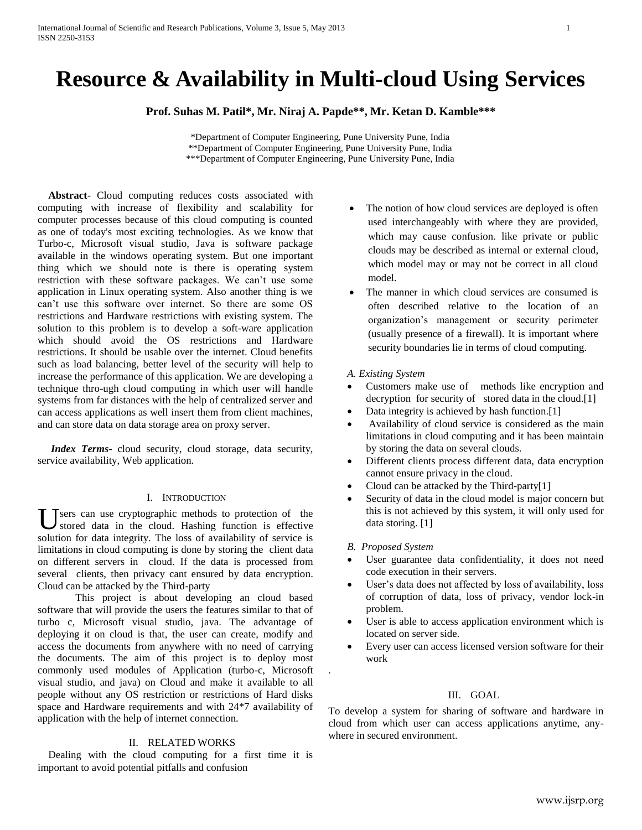# **Resource & Availability in Multi-cloud Using Services**

**Prof. Suhas M. Patil\*, Mr. Niraj A. Papde\*\*, Mr. Ketan D. Kamble\*\*\***

\*Department of Computer Engineering, Pune University Pune, India \*\*Department of Computer Engineering, Pune University Pune, India \*\*\*Department of Computer Engineering, Pune University Pune, India

 **Abstract**- Cloud computing reduces costs associated with computing with increase of flexibility and scalability for computer processes because of this cloud computing is counted as one of today's most exciting technologies. As we know that Turbo-c, Microsoft visual studio, Java is software package available in the windows operating system. But one important thing which we should note is there is operating system restriction with these software packages. We can't use some application in Linux operating system. Also another thing is we can't use this software over internet. So there are some OS restrictions and Hardware restrictions with existing system. The solution to this problem is to develop a soft-ware application which should avoid the OS restrictions and Hardware restrictions. It should be usable over the internet. Cloud benefits such as load balancing, better level of the security will help to increase the performance of this application. We are developing a technique thro-ugh cloud computing in which user will handle systems from far distances with the help of centralized server and can access applications as well insert them from client machines, and can store data on data storage area on proxy server.

 *Index Terms*- cloud security, cloud storage, data security, service availability, Web application.

## I. INTRODUCTION

Users can use cryptographic methods to protection of the stored data in the cloud. Hashing function is effective stored data in the cloud. Hashing function is effective solution for data integrity. The loss of availability of service is limitations in cloud computing is done by storing the client data on different servers in cloud. If the data is processed from several clients, then privacy cant ensured by data encryption. Cloud can be attacked by the Third-party

This project is about developing an cloud based software that will provide the users the features similar to that of turbo c, Microsoft visual studio, java. The advantage of deploying it on cloud is that, the user can create, modify and access the documents from anywhere with no need of carrying the documents. The aim of this project is to deploy most commonly used modules of Application (turbo-c, Microsoft visual studio, and java) on Cloud and make it available to all people without any OS restriction or restrictions of Hard disks space and Hardware requirements and with 24\*7 availability of application with the help of internet connection.

# II. RELATED WORKS

Dealing with the cloud computing for a first time it is important to avoid potential pitfalls and confusion

- The notion of how cloud services are deployed is often used interchangeably with where they are provided, which may cause confusion. like private or public clouds may be described as internal or external cloud, which model may or may not be correct in all cloud model.
- The manner in which cloud services are consumed is often described relative to the location of an organization's management or security perimeter (usually presence of a firewall). It is important where security boundaries lie in terms of cloud computing.

### *A. Existing System*

- Customers make use of methods like encryption and decryption for security of stored data in the cloud.<sup>[1]</sup>
- Data integrity is achieved by hash function.[1]
- Availability of cloud service is considered as the main limitations in cloud computing and it has been maintain by storing the data on several clouds.
- Different clients process different data, data encryption cannot ensure privacy in the cloud.
- Cloud can be attacked by the Third-party[1]
- Security of data in the cloud model is major concern but this is not achieved by this system, it will only used for data storing. [1]

## *B. Proposed System*

.

- User guarantee data confidentiality, it does not need code execution in their servers.
- User's data does not affected by loss of availability, loss of corruption of data, loss of privacy, vendor lock-in problem.
- User is able to access application environment which is located on server side.
- Every user can access licensed version software for their work

## III. GOAL

To develop a system for sharing of software and hardware in cloud from which user can access applications anytime, anywhere in secured environment.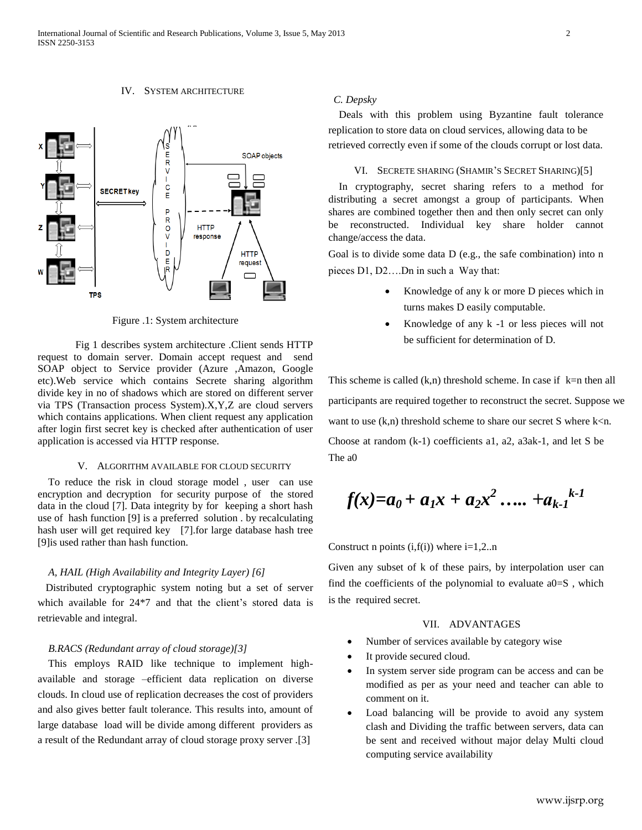IV. SYSTEM ARCHITECTURE



Figure .1: System architecture

Fig 1 describes system architecture .Client sends HTTP request to domain server. Domain accept request and send SOAP object to Service provider (Azure ,Amazon, Google etc).Web service which contains Secrete sharing algorithm divide key in no of shadows which are stored on different server via TPS (Transaction process System).X,Y,Z are cloud servers which contains applications. When client request any application after login first secret key is checked after authentication of user application is accessed via HTTP response.

## V. ALGORITHM AVAILABLE FOR CLOUD SECURITY

 To reduce the risk in cloud storage model , user can use encryption and decryption for security purpose of the stored data in the cloud [7]. Data integrity by for keeping a short hash use of hash function [9] is a preferred solution . by recalculating hash user will get required key [7].for large database hash tree [9]is used rather than hash function.

## *A, HAIL (High Availability and Integrity Layer) [6]*

 Distributed cryptographic system noting but a set of server which available for 24\*7 and that the client's stored data is retrievable and integral.

### *B.RACS (Redundant array of cloud storage)[3]*

 This employs RAID like technique to implement highavailable and storage –efficient data replication on diverse clouds. In cloud use of replication decreases the cost of providers and also gives better fault tolerance. This results into, amount of large database load will be divide among different providers as a result of the Redundant array of cloud storage proxy server .[3]

# *C. Depsky*

 Deals with this problem using Byzantine fault tolerance replication to store data on cloud services, allowing data to be retrieved correctly even if some of the clouds corrupt or lost data.

#### VI. SECRETE SHARING (SHAMIR'S SECRET SHARING)[5]

In cryptography, secret sharing refers to a method for distributing a secret amongst a group of participants. When shares are combined together then and then only secret can only be reconstructed. Individual key share holder cannot change/access the data.

Goal is to divide some data D (e.g., the safe combination) into n pieces D1, D2….Dn in such a Way that:

- Knowledge of any k or more D pieces which in turns makes D easily computable.
- Knowledge of any k -1 or less pieces will not be sufficient for determination of D.

This scheme is called  $(k,n)$  threshold scheme. In case if  $k=n$  then all participants are required together to reconstruct the secret. Suppose we want to use  $(k,n)$  threshold scheme to share our secret S where k $\leq n$ . Choose at random (k-1) coefficients a1, a2, a3ak-1, and let S be The a0

$$
f(x)=a_0+a_1x+a_2x^2\ldots+a_{k-1}^{k-1}
$$

Construct n points  $(i, f(i))$  where  $i=1,2...n$ 

Given any subset of k of these pairs, by interpolation user can find the coefficients of the polynomial to evaluate a0=S , which is the required secret.

## VII. ADVANTAGES

- Number of services available by category wise
- It provide secured cloud.
- In system server side program can be access and can be modified as per as your need and teacher can able to comment on it.
- Load balancing will be provide to avoid any system clash and Dividing the traffic between servers, data can be sent and received without major delay Multi cloud computing service availability